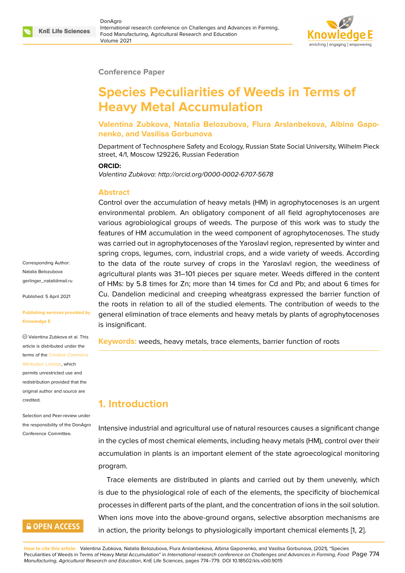

#### **Conference Paper**

# **Species Peculiarities of Weeds in Terms of Heavy Metal Accumulation**

**Valentina Zubkova, Natalia Belozubova, Flura Arslanbekova, Albina Gaponenko, and Vasilisa Gorbunova**

Department of Technosphere Safety and Ecology, Russian State Social University, Wilhelm Pieck street, 4/1, Moscow 129226, Russian Federation

#### **ORCID:**

*Valentina Zubkova: http://orcid.org/0000-0002-6707-5678*

#### **Abstract**

Control over the accumulation of heavy metals (HM) in agrophytocenoses is an urgent environmental problem. An obligatory component of all field agrophytocenoses are various agrobiological groups of weeds. The purpose of this work was to study the features of HM accumulation in the weed component of agrophytocenoses. The study was carried out in agrophytocenoses of the Yaroslavl region, represented by winter and spring crops, legumes, corn, industrial crops, and a wide variety of weeds. According to the data of the route survey of crops in the Yaroslavl region, the weediness of agricultural plants was 31–101 pieces per square meter. Weeds differed in the content of HMs: by 5.8 times for Zn; more than 14 times for Cd and Pb; and about 6 times for Cu. Dandelion medicinal and creeping wheatgrass expressed the barrier function of the roots in relation to all of the studied elements. The contribution of weeds to the general elimination of trace elements and heavy metals by plants of agrophytocenoses is insignificant.

**Keywords:** weeds, heavy metals, trace elements, barrier function of roots

## **1. Introduction**

Intensive industrial and agricultural use of natural resources causes a significant change in the cycles of most chemical elements, including heavy metals (HM), control over their accumulation in plants is an important element of the state agroecological monitoring program.

Trace elements are distributed in plants and carried out by them unevenly, which is due to the physiological role of each of the elements, the specificity of biochemical processes in different parts of the plant, and the concentration of ions in the soil solution. When ions move into the above-ground organs, selective absorption mechanisms are in action, the priority belongs to physiologically important chemical elements [1, 2].

**How to cite this article**: Valentina Zubkova, Natalia Belozubova, Flura Arslanbekova, Albina Gaponenko, and Vasilisa Gorbunova, (2021), "Species Peculiarities of Weeds in Terms of Heavy Metal Accumulation" in *International research conference on Challenges and Advances in Farming, Food* Page 774 *Manufacturing, Agricultural Research and Education*, KnE Life Sciences, pages 774–779. DOI 10.18502/kls.v0i0.9015

Corresponding Author: Natalia Belozubova gerlinger\_natali@mail.ru

Published: 5 April 2021

#### **[Publishing services prov](mailto:gerlinger_natali@mail.ru)ided by Knowledge E**

Valentina Zubkova et al. This article is distributed under the terms of the Creative Commons Attribution License, which

permits unrestricted use and redistribution provided that the original auth[or and source are](https://creativecommons.org/licenses/by/4.0/) [credited.](https://creativecommons.org/licenses/by/4.0/)

Selection and Peer-review under the responsibility of the DonAgro Conference Committee.

### **GOPEN ACCESS**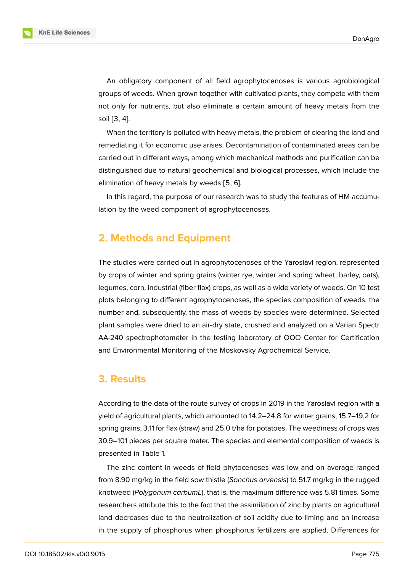**KnE Life Sciences** 

An obligatory component of all field agrophytocenoses is various agrobiological groups of weeds. When grown together with cultivated plants, they compete with them not only for nutrients, but also eliminate a certain amount of heavy metals from the soil [3, 4].

When the territory is polluted with heavy metals, the problem of clearing the land and remediating it for economic use arises. Decontamination of contaminated areas can be carried out in different ways, among which mechanical methods and purification can be distinguished due to natural geochemical and biological processes, which include the elimination of heavy metals by weeds [5, 6].

In this regard, the purpose of our research was to study the features of HM accumulation by the weed component of agrophytocenoses.

# **2. Methods and Equipment**

The studies were carried out in agrophytocenoses of the Yaroslavl region, represented by crops of winter and spring grains (winter rye, winter and spring wheat, barley, oats), legumes, corn, industrial (fiber flax) crops, as well as a wide variety of weeds. On 10 test plots belonging to different agrophytocenoses, the species composition of weeds, the number and, subsequently, the mass of weeds by species were determined. Selected plant samples were dried to an air-dry state, crushed and analyzed on a Varian Spectr AA-240 spectrophotometer in the testing laboratory of OOO Center for Certification and Environmental Monitoring of the Moskovsky Agrochemical Service.

### **3. Results**

According to the data of the route survey of crops in 2019 in the Yaroslavl region with a yield of agricultural plants, which amounted to 14.2–24.8 for winter grains, 15.7–19.2 for spring grains, 3.11 for flax (straw) and 25.0 t/ha for potatoes. The weediness of crops was 30.9–101 pieces per square meter. The species and elemental composition of weeds is presented in Table 1.

The zinc content in weeds of field phytocenoses was low and on average ranged from 8.90 mg/kg in the field sow thistle (*Sonchus arvensis*) to 51.7 mg/kg in the rugged knotweed (*Polygonum carbumL*), that is, the maximum difference was 5.81 times. Some researchers attribute this to the fact that the assimilation of zinc by plants on agricultural land decreases due to the neutralization of soil acidity due to liming and an increase in the supply of phosphorus when phosphorus fertilizers are applied. Differences for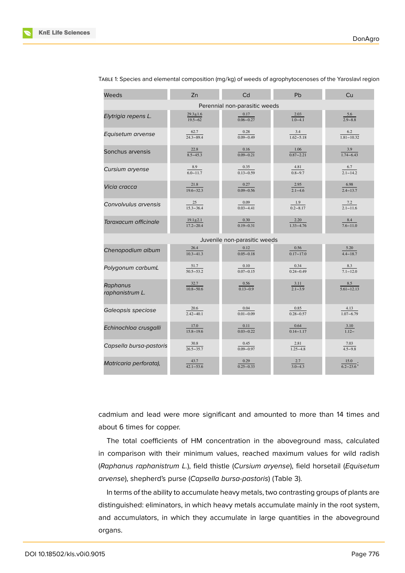

| Weeds                         | Zn                                        | Cd                               | Pb                                        | Cu                                         |  |  |  |
|-------------------------------|-------------------------------------------|----------------------------------|-------------------------------------------|--------------------------------------------|--|--|--|
| Perennial non-parasitic weeds |                                           |                                  |                                           |                                            |  |  |  |
| Elytrigia repens L.           | $29.3 \pm 1.6$<br>$\frac{19.5 - 62}{x}$   | 0.17<br>$0.06 - 0.27$            | $\frac{2.03}{1.0-4.1}$                    | 5.6<br>$\frac{1}{2.9 - 8.8}$               |  |  |  |
| Equisetum arvense             | $\frac{62.7}{24.3 - 89.4}$                | $\frac{0.28}{0.09 - 0.49}$       | $\frac{3.4}{1.62 - 5.18}$                 | 6.2<br>$\frac{1.81 - 10.32}{1.81 - 10.32}$ |  |  |  |
| Sonchus arvensis              | 22.8<br>$8.5 - 45.3$                      | 0.16<br>$0.09 - 0.21$            | 1.06<br>$0.87 - 2.21$                     | 3.9<br>$\overline{1.74 - 6.43}$            |  |  |  |
| Cursium aryense               | 8.9<br>$6.0 - 11.7$                       | 0.35<br>$0.13 - 0.59$            | $\frac{4.81}{0.8 - 9.7}$                  | $\frac{6.7}{2.1 - 14.2}$                   |  |  |  |
| Vicia cracca                  | 21.8<br>$19.6 - 32.3$                     | 0.27<br>$\overline{0.09 - 0.56}$ | $\frac{2.95}{2.1 - 4.6}$                  | 6.98<br>$\frac{1}{2.4 - 13.7}$             |  |  |  |
| Convolvulus arvensis          | 25<br>$15.3 - 36.4$                       | 0.09<br>$0.03 - 4.41$            | 1.9<br>$0.2 - 8.17$                       | 7.2<br>$2.1 - 11.6$                        |  |  |  |
| Taraxacum officinale          | $\frac{19.1 \pm 2.1}{17.2 - 20.4}$        | 0.30<br>$\overline{0.19 - 0.31}$ | 2.20<br>$\frac{1.33 - 4.76}{1.33 - 4.76}$ | $\frac{8.4}{7.6 - 11.0}$                   |  |  |  |
| Juvenile non-parasitic weeds  |                                           |                                  |                                           |                                            |  |  |  |
| Chenopodium album             | 26.4<br>$\overline{10.3 - 41.3}$          | 0.12<br>$0.05 - 0.18$            | 0.56<br>$\overline{0.17 - 17.0}$          | 5.20<br>$\frac{4.4 - 18.7}{4.4 - 18.7}$    |  |  |  |
| Polygonum carbumL             | 51.7<br>$\overline{50.5 - 53.2}$          | 0.10<br>$0.07 - 0.15$            | 0.34<br>$0.24 - 0.49$                     | 8.3<br>$7.1 - 12.0$                        |  |  |  |
| Raphanus<br>raphanistrum L.   | 32.7<br>$\frac{10.8 - 50.6}{10.8 - 50.6}$ | 0.56<br>$\overline{0.13 - 0.9}$  | $\frac{3.11}{2.1-3.9}$                    | $8.5\,$<br>$\frac{1}{5.61 - 12.13}$        |  |  |  |
| Galeopsis speciose            | 20.6<br>$2.42 - 40.1$                     | 0.04<br>$0.01 - 0.09$            | 0.85<br>$0.28 - 0.57$                     | 4.13<br>$\frac{1.07 - 6.79}{1.07 - 6.79}$  |  |  |  |
| Echinochloa crusgalli         | 17.0<br>$\frac{15.8 - 19.6}{15.8 - 19.6}$ | 0.11<br>$\overline{0.03 - 0.22}$ | $\frac{0.64}{0.14 - 1.17}$                | $\frac{3.10}{1.12-}$                       |  |  |  |
| Capsella bursa-pastoris       | 30.8<br>$\frac{26.5 - 35.7}{26.5 - 35.7}$ | 0.45<br>$0.09 - 0.97$            | $\frac{2.81}{1.25 - 4.8}$                 | $\frac{7.03}{4.5 - 9.8}$                   |  |  |  |
| Matricaria perforata),        | 43.7<br>$42.1 - 53.6$                     | 0.29<br>$0.25 - 0.33$            | $\frac{2.7}{3.0 - 4.3}$                   | $\frac{15.0}{6.2-23.6}$                    |  |  |  |

TABLE 1: Species and elemental composition (mg/kg) of weeds of agrophytocenoses of the Yaroslavl region

cadmium and lead were more significant and amounted to more than 14 times and about 6 times for copper.

The total coefficients of HM concentration in the aboveground mass, calculated in comparison with their minimum values, reached maximum values for wild radish (*Raphanus raphanistrum L.*), field thistle (*Cursium aryense*), field horsetail (*Equisetum arvense*), shepherd's purse (*Capsella bursa-pastoris*) (Table 3).

In terms of the ability to accumulate heavy metals, two contrasting groups of plants are distinguished: eliminators, in which heavy metals accumulate mainly in the root system, and accumulators, in which they accumulate in large quantities in the aboveground organs.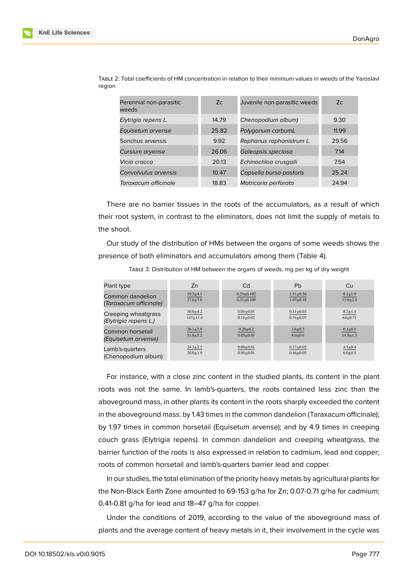| Z <sub>C</sub> | Juvenile non-parasitic weeds | Zc    |
|----------------|------------------------------|-------|
| 14.79          | Chenopodium album)           | 9.30  |
| 25.82          | Polygonum carbumL            | 11.99 |
| 9.92           | Raphanus raphanistrum L.     | 29.56 |
| 26.06          | Galeopsis speciosa           | 7.14  |
| 20.13          | Echinochloa crusgalli        | 7.54  |
| 10.47          | Capsella bursa-pastoris      | 25.24 |
| 18.83          | Matricaria perforata         | 24.94 |
|                |                              |       |

TABLE 2: Total coefficients of HM concentration in relation to their minimum values in weeds of the Yaroslavl region

There are no barrier tissues in the roots of the accumulators, as a result of which their root system, in contrast to the eliminators, does not limit the supply of metals to the shoot.

Our study of the distribution of HMs between the organs of some weeds shows the presence of both eliminators and accumulators among them (Table 4).

| Plant type             | Zn             | Cd               | Pb              | Cu             |
|------------------------|----------------|------------------|-----------------|----------------|
| Common dandelion       | $19.3 \pm 4.1$ | $0.29 \pm 0.102$ | $1.51 \pm 0.56$ | $8.1 \pm 1.9$  |
| (Taraxacum officinale) | $27.6 \pm 7.6$ | $0.31 + 0.109$   | $1.97 \pm 0.18$ | $13.6 \pm 2.8$ |
| Creeping wheatgrass    | $30.0 \pm 4.2$ | $0.03 \pm 0.01$  | $0.11 \pm 0.03$ | $8.2 \pm 1.4$  |
| (Elytrigia repens L.)  | $147 + 11.4$   | $0.11 \pm 0.02$  | $0.74 + 0.07$   | $64 + 0.71$    |
| Common horsetail       | $26.1 \pm 2.9$ | $0.20 \pm 0.2$   | $3.6 \pm 0.3$   | $6.1 \pm 0.5$  |
| (Equisetum arvense)    | $51.8 \pm 5.2$ | $0.05 \pm 0.01$  | $8.0 + 0.6$     | $14.8 \pm 1.5$ |
| Lamb's-quarters        | $24.3 \pm 2.2$ | $0.09 \pm 0.01$  | $0.17 + 0.02$   | $4.5 \pm 0.4$  |
| (Chenopodium album)    | $20.0 \pm 1.9$ | $0.05 \pm 0.01$  | $0.46 \pm 0.05$ | $6.0 \pm 0.5$  |

TABLE 3: Distribution of HM between the organs of weeds, mg per kg of dry weight

For instance, with a close zinc content in the studied plants, its content in the plant roots was not the same. In lamb's-quarters, the roots contained less zinc than the aboveground mass, in other plants its content in the roots sharply exceeded the content in the aboveground mass: by 1.43 times in the common dandelion (Taraxacum officinale); by 1.97 times in common horsetail (Equisetum arvense); and by 4.9 times in creeping couch grass (Elytrigia repens). In common dandelion and creeping wheatgrass, the barrier function of the roots is also expressed in relation to cadmium, lead and copper; roots of common horsetail and lamb's-quarters barrier lead and copper.

In our studies, the total elimination of the priority heavy metals by agricultural plants for the Non-Black Earth Zone amounted to 69-153 g/ha for Zn; 0.07-0.71 g/ha for cadmium; 0.41-0.81 g/ha for lead and 18–47 g/ha for copper.

Under the conditions of 2019, according to the value of the aboveground mass of plants and the average content of heavy metals in it, their involvement in the cycle was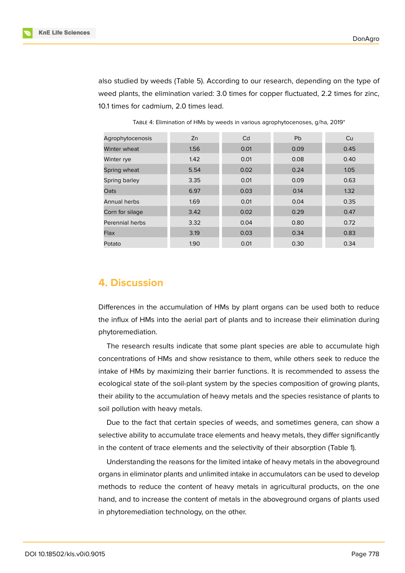

also studied by weeds (Table 5). According to our research, depending on the type of weed plants, the elimination varied: 3.0 times for copper fluctuated, 2.2 times for zinc, 10.1 times for cadmium, 2.0 times lead.

| Agrophytocenosis | Zn   | Cd   | <b>Pb</b> | Cu   |
|------------------|------|------|-----------|------|
| Winter wheat     | 1.56 | 0.01 | 0.09      | 0.45 |
| Winter rye       | 1.42 | 0.01 | 0.08      | 0.40 |
| Spring wheat     | 5.54 | 0.02 | 0.24      | 1.05 |
| Spring barley    | 3.35 | 0.01 | 0.09      | 0.63 |
| Oats             | 6.97 | 0.03 | 0.14      | 1.32 |
| Annual herbs     | 1.69 | 0.01 | 0.04      | 0.35 |
| Corn for silage  | 3.42 | 0.02 | 0.29      | 0.47 |
| Perennial herbs  | 3.32 | 0.04 | 0.80      | 0.72 |
| Flax             | 3.19 | 0.03 | 0.34      | 0.83 |
| Potato           | 1.90 | 0.01 | 0.30      | 0.34 |

TABLE 4: Elimination of HMs by weeds in various agrophytocenoses, g/ha, 2019\*

# **4. Discussion**

Differences in the accumulation of HMs by plant organs can be used both to reduce the influx of HMs into the aerial part of plants and to increase their elimination during phytoremediation.

The research results indicate that some plant species are able to accumulate high concentrations of HMs and show resistance to them, while others seek to reduce the intake of HMs by maximizing their barrier functions. It is recommended to assess the ecological state of the soil-plant system by the species composition of growing plants, their ability to the accumulation of heavy metals and the species resistance of plants to soil pollution with heavy metals.

Due to the fact that certain species of weeds, and sometimes genera, can show a selective ability to accumulate trace elements and heavy metals, they differ significantly in the content of trace elements and the selectivity of their absorption (Table 1).

Understanding the reasons for the limited intake of heavy metals in the aboveground organs in eliminator plants and unlimited intake in accumulators can be used to develop methods to reduce the content of heavy metals in agricultural products, on the one hand, and to increase the content of metals in the aboveground organs of plants used in phytoremediation technology, on the other.